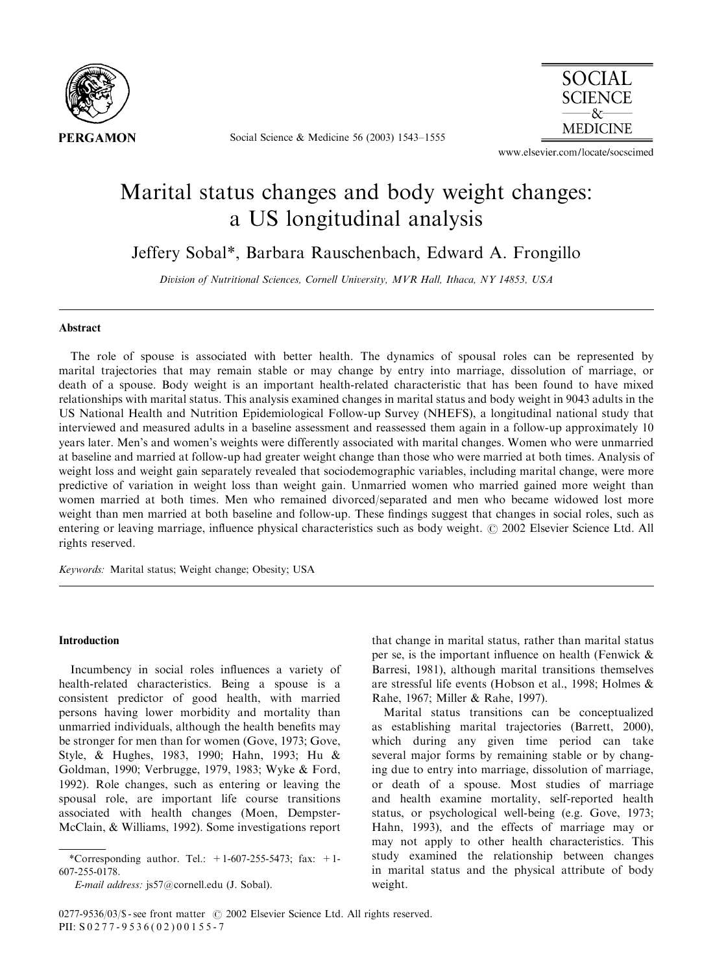

Social Science & Medicine 56 (2003) 1543–1555



www.elsevier.com/locate/socscimed

# Marital status changes and body weight changes: a US longitudinal analysis

Jeffery Sobal\*, Barbara Rauschenbach, Edward A. Frongillo

Division of Nutritional Sciences, Cornell University, MVR Hall, Ithaca, NY 14853, USA

#### Abstract

The role of spouse is associated with better health. The dynamics of spousal roles can be represented by marital trajectories that may remain stable or may change by entry into marriage, dissolution of marriage, or death of a spouse. Body weight is an important health-related characteristic that has been found to have mixed relationships with marital status. This analysis examined changes in marital status and body weight in 9043 adults in the US National Health and Nutrition Epidemiological Follow-up Survey (NHEFS), a longitudinal national study that interviewed and measured adults in a baseline assessment and reassessed them again in a follow-up approximately 10 years later. Men's and women's weights were differently associated with marital changes. Women who were unmarried at baseline and married at follow-up had greater weight change than those who were married at both times. Analysis of weight loss and weight gain separately revealed that sociodemographic variables, including marital change, were more predictive of variation in weight loss than weight gain. Unmarried women who married gained more weight than women married at both times. Men who remained divorced/separated and men who became widowed lost more weight than men married at both baseline and follow-up. These findings suggest that changes in social roles, such as entering or leaving marriage, influence physical characteristics such as body weight. © 2002 Elsevier Science Ltd. All rights reserved.

Keywords: Marital status; Weight change; Obesity; USA

## Introduction

Incumbency in social roles influences a variety of health-related characteristics. Being a spouse is a consistent predictor of good health, with married persons having lower morbidity and mortality than unmarried individuals, although the health benefits may be stronger for men than for women (Gove, 1973; Gove, Style, & Hughes, 1983, 1990; Hahn, 1993; Hu & Goldman, 1990; Verbrugge, 1979, 1983; Wyke & Ford, 1992). Role changes, such as entering or leaving the spousal role, are important life course transitions associated with health changes (Moen, Dempster-McClain, & Williams, 1992). Some investigations report

E-mail address: js57@cornell.edu (J. Sobal).

that change in marital status, rather than marital status per se, is the important influence on health (Fenwick & Barresi, 1981), although marital transitions themselves are stressful life events (Hobson et al., 1998; Holmes & Rahe, 1967; Miller & Rahe, 1997).

Marital status transitions can be conceptualized as establishing marital trajectories (Barrett, 2000), which during any given time period can take several major forms by remaining stable or by changing due to entry into marriage, dissolution of marriage, or death of a spouse. Most studies of marriage and health examine mortality, self-reported health status, or psychological well-being (e.g. Gove, 1973; Hahn, 1993), and the effects of marriage may or may not apply to other health characteristics. This study examined the relationship between changes in marital status and the physical attribute of body weight.

<sup>\*</sup>Corresponding author. Tel.:  $+1-607-255-5473$ ; fax:  $+1-$ 607-255-0178.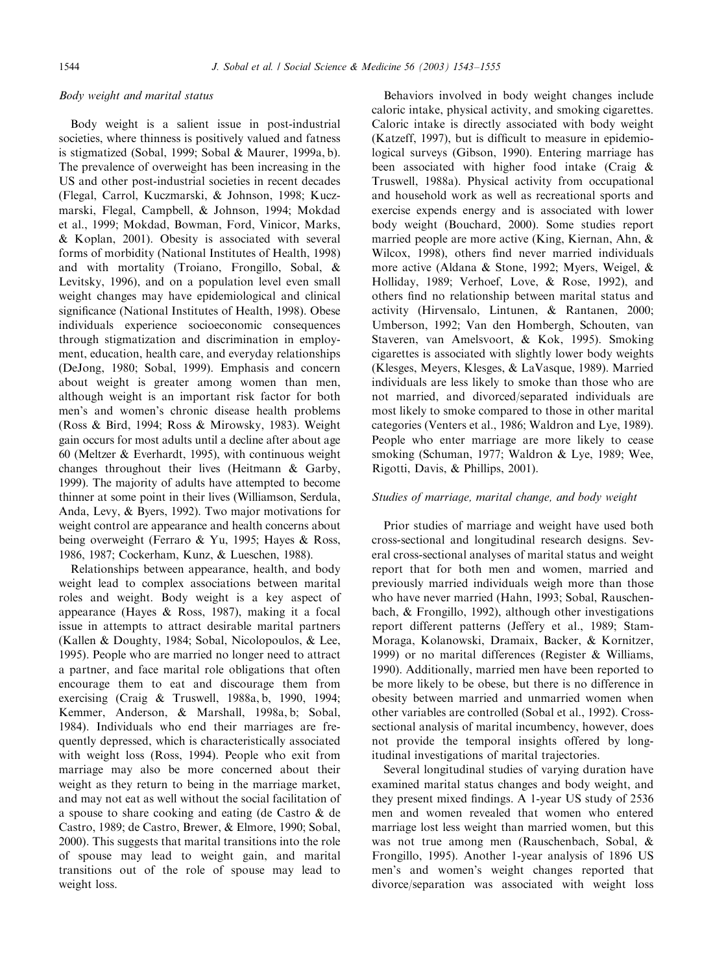## Body weight and marital status

Body weight is a salient issue in post-industrial societies, where thinness is positively valued and fatness is stigmatized (Sobal, 1999; Sobal & Maurer, 1999a, b). The prevalence of overweight has been increasing in the US and other post-industrial societies in recent decades (Flegal, Carrol, Kuczmarski, & Johnson, 1998; Kuczmarski, Flegal, Campbell, & Johnson, 1994; Mokdad et al., 1999; Mokdad, Bowman, Ford, Vinicor, Marks, & Koplan, 2001). Obesity is associated with several forms of morbidity (National Institutes of Health, 1998) and with mortality (Troiano, Frongillo, Sobal, & Levitsky, 1996), and on a population level even small weight changes may have epidemiological and clinical significance (National Institutes of Health, 1998). Obese individuals experience socioeconomic consequences through stigmatization and discrimination in employment, education, health care, and everyday relationships (DeJong, 1980; Sobal, 1999). Emphasis and concern about weight is greater among women than men, although weight is an important risk factor for both men's and women's chronic disease health problems (Ross & Bird, 1994; Ross & Mirowsky, 1983). Weight gain occurs for most adults until a decline after about age 60 (Meltzer & Everhardt, 1995), with continuous weight changes throughout their lives (Heitmann & Garby, 1999). The majority of adults have attempted to become thinner at some point in their lives (Williamson, Serdula, Anda, Levy, & Byers, 1992). Two major motivations for weight control are appearance and health concerns about being overweight (Ferraro & Yu, 1995; Hayes & Ross, 1986, 1987; Cockerham, Kunz, & Lueschen, 1988).

Relationships between appearance, health, and body weight lead to complex associations between marital roles and weight. Body weight is a key aspect of appearance (Hayes & Ross, 1987), making it a focal issue in attempts to attract desirable marital partners (Kallen & Doughty, 1984; Sobal, Nicolopoulos, & Lee, 1995). People who are married no longer need to attract a partner, and face marital role obligations that often encourage them to eat and discourage them from exercising (Craig & Truswell, 1988a, b, 1990, 1994; Kemmer, Anderson, & Marshall, 1998a, b; Sobal, 1984). Individuals who end their marriages are frequently depressed, which is characteristically associated with weight loss (Ross, 1994). People who exit from marriage may also be more concerned about their weight as they return to being in the marriage market, and may not eat as well without the social facilitation of a spouse to share cooking and eating (de Castro & de Castro, 1989; de Castro, Brewer, & Elmore, 1990; Sobal, 2000). This suggests that marital transitions into the role of spouse may lead to weight gain, and marital transitions out of the role of spouse may lead to weight loss.

Behaviors involved in body weight changes include caloric intake, physical activity, and smoking cigarettes. Caloric intake is directly associated with body weight (Katzeff, 1997), but is difficult to measure in epidemiological surveys (Gibson, 1990). Entering marriage has been associated with higher food intake (Craig & Truswell, 1988a). Physical activity from occupational and household work as well as recreational sports and exercise expends energy and is associated with lower body weight (Bouchard, 2000). Some studies report married people are more active (King, Kiernan, Ahn, & Wilcox, 1998), others find never married individuals more active (Aldana & Stone, 1992; Myers, Weigel, & Holliday, 1989; Verhoef, Love, & Rose, 1992), and others find no relationship between marital status and activity (Hirvensalo, Lintunen, & Rantanen, 2000; Umberson, 1992; Van den Hombergh, Schouten, van Staveren, van Amelsvoort, & Kok, 1995). Smoking cigarettes is associated with slightly lower body weights (Klesges, Meyers, Klesges, & LaVasque, 1989). Married individuals are less likely to smoke than those who are not married, and divorced/separated individuals are most likely to smoke compared to those in other marital categories (Venters et al., 1986; Waldron and Lye, 1989). People who enter marriage are more likely to cease smoking (Schuman, 1977; Waldron & Lye, 1989; Wee, Rigotti, Davis, & Phillips, 2001).

#### Studies of marriage, marital change, and body weight

Prior studies of marriage and weight have used both cross-sectional and longitudinal research designs. Several cross-sectional analyses of marital status and weight report that for both men and women, married and previously married individuals weigh more than those who have never married (Hahn, 1993; Sobal, Rauschenbach, & Frongillo, 1992), although other investigations report different patterns (Jeffery et al., 1989; Stam-Moraga, Kolanowski, Dramaix, Backer, & Kornitzer, 1999) or no marital differences (Register & Williams, 1990). Additionally, married men have been reported to be more likely to be obese, but there is no difference in obesity between married and unmarried women when other variables are controlled (Sobal et al., 1992). Crosssectional analysis of marital incumbency, however, does not provide the temporal insights offered by longitudinal investigations of marital trajectories.

Several longitudinal studies of varying duration have examined marital status changes and body weight, and they present mixed findings. A 1-year US study of 2536 men and women revealed that women who entered marriage lost less weight than married women, but this was not true among men (Rauschenbach, Sobal, & Frongillo, 1995). Another 1-year analysis of 1896 US men's and women's weight changes reported that divorce/separation was associated with weight loss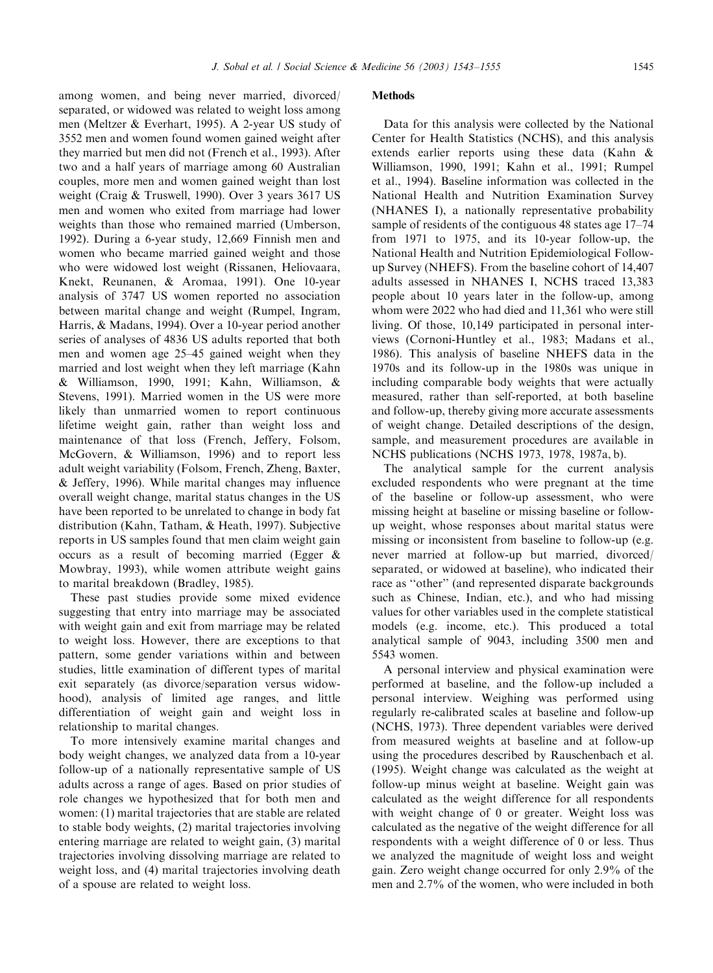among women, and being never married, divorced/ separated, or widowed was related to weight loss among men (Meltzer & Everhart, 1995). A 2-year US study of 3552 men and women found women gained weight after they married but men did not (French et al., 1993). After two and a half years of marriage among 60 Australian couples, more men and women gained weight than lost weight (Craig & Truswell, 1990). Over 3 years 3617 US men and women who exited from marriage had lower weights than those who remained married (Umberson, 1992). During a 6-year study, 12,669 Finnish men and women who became married gained weight and those who were widowed lost weight (Rissanen, Heliovaara, Knekt, Reunanen, & Aromaa, 1991). One 10-year analysis of 3747 US women reported no association between marital change and weight (Rumpel, Ingram, Harris, & Madans, 1994). Over a 10-year period another series of analyses of 4836 US adults reported that both men and women age 25–45 gained weight when they married and lost weight when they left marriage (Kahn & Williamson, 1990, 1991; Kahn, Williamson, & Stevens, 1991). Married women in the US were more likely than unmarried women to report continuous lifetime weight gain, rather than weight loss and maintenance of that loss (French, Jeffery, Folsom, McGovern, & Williamson, 1996) and to report less adult weight variability (Folsom, French, Zheng, Baxter, & Jeffery, 1996). While marital changes may influence overall weight change, marital status changes in the US have been reported to be unrelated to change in body fat distribution (Kahn, Tatham, & Heath, 1997). Subjective reports in US samples found that men claim weight gain occurs as a result of becoming married (Egger & Mowbray, 1993), while women attribute weight gains to marital breakdown (Bradley, 1985).

These past studies provide some mixed evidence suggesting that entry into marriage may be associated with weight gain and exit from marriage may be related to weight loss. However, there are exceptions to that pattern, some gender variations within and between studies, little examination of different types of marital exit separately (as divorce/separation versus widowhood), analysis of limited age ranges, and little differentiation of weight gain and weight loss in relationship to marital changes.

To more intensively examine marital changes and body weight changes, we analyzed data from a 10-year follow-up of a nationally representative sample of US adults across a range of ages. Based on prior studies of role changes we hypothesized that for both men and women: (1) marital trajectories that are stable are related to stable body weights, (2) marital trajectories involving entering marriage are related to weight gain, (3) marital trajectories involving dissolving marriage are related to weight loss, and (4) marital trajectories involving death of a spouse are related to weight loss.

#### **Methods**

Data for this analysis were collected by the National Center for Health Statistics (NCHS), and this analysis extends earlier reports using these data (Kahn & Williamson, 1990, 1991; Kahn et al., 1991; Rumpel et al., 1994). Baseline information was collected in the National Health and Nutrition Examination Survey (NHANES I), a nationally representative probability sample of residents of the contiguous 48 states age 17–74 from 1971 to 1975, and its 10-year follow-up, the National Health and Nutrition Epidemiological Followup Survey (NHEFS). From the baseline cohort of 14,407 adults assessed in NHANES I, NCHS traced 13,383 people about 10 years later in the follow-up, among whom were 2022 who had died and 11,361 who were still living. Of those, 10,149 participated in personal interviews (Cornoni-Huntley et al., 1983; Madans et al., 1986). This analysis of baseline NHEFS data in the 1970s and its follow-up in the 1980s was unique in including comparable body weights that were actually measured, rather than self-reported, at both baseline and follow-up, thereby giving more accurate assessments of weight change. Detailed descriptions of the design, sample, and measurement procedures are available in NCHS publications (NCHS 1973, 1978, 1987a, b).

The analytical sample for the current analysis excluded respondents who were pregnant at the time of the baseline or follow-up assessment, who were missing height at baseline or missing baseline or followup weight, whose responses about marital status were missing or inconsistent from baseline to follow-up (e.g. never married at follow-up but married, divorced/ separated, or widowed at baseline), who indicated their race as ''other'' (and represented disparate backgrounds such as Chinese, Indian, etc.), and who had missing values for other variables used in the complete statistical models (e.g. income, etc.). This produced a total analytical sample of 9043, including 3500 men and 5543 women.

A personal interview and physical examination were performed at baseline, and the follow-up included a personal interview. Weighing was performed using regularly re-calibrated scales at baseline and follow-up (NCHS, 1973). Three dependent variables were derived from measured weights at baseline and at follow-up using the procedures described by Rauschenbach et al. (1995). Weight change was calculated as the weight at follow-up minus weight at baseline. Weight gain was calculated as the weight difference for all respondents with weight change of 0 or greater. Weight loss was calculated as the negative of the weight difference for all respondents with a weight difference of 0 or less. Thus we analyzed the magnitude of weight loss and weight gain. Zero weight change occurred for only 2.9% of the men and 2.7% of the women, who were included in both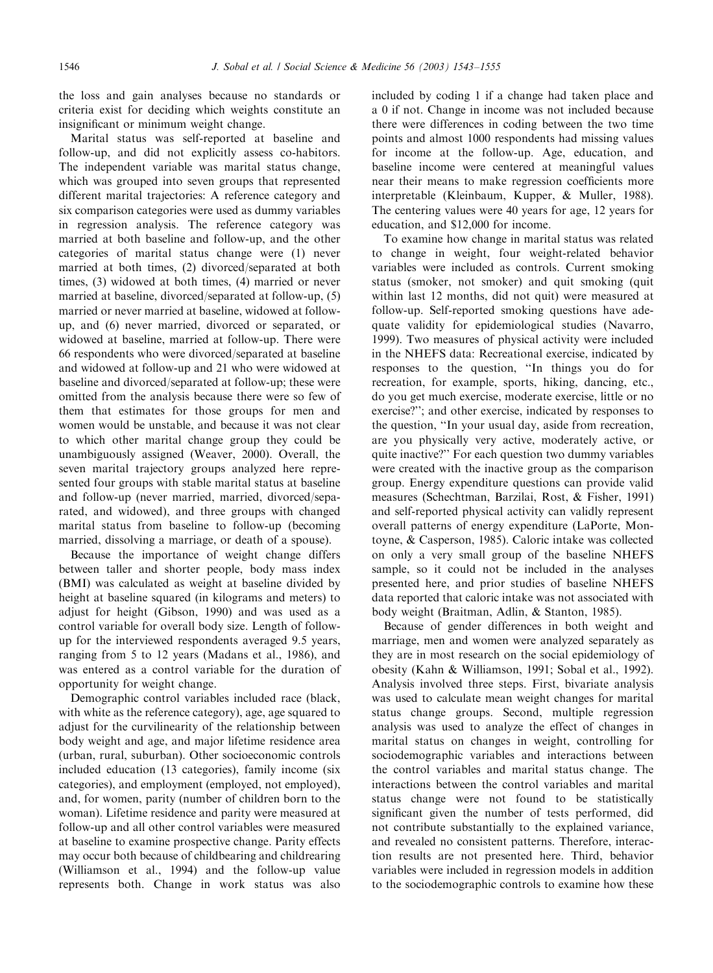the loss and gain analyses because no standards or criteria exist for deciding which weights constitute an insignificant or minimum weight change.

Marital status was self-reported at baseline and follow-up, and did not explicitly assess co-habitors. The independent variable was marital status change, which was grouped into seven groups that represented different marital trajectories: A reference category and six comparison categories were used as dummy variables in regression analysis. The reference category was married at both baseline and follow-up, and the other categories of marital status change were (1) never married at both times, (2) divorced/separated at both times, (3) widowed at both times, (4) married or never married at baseline, divorced/separated at follow-up, (5) married or never married at baseline, widowed at followup, and (6) never married, divorced or separated, or widowed at baseline, married at follow-up. There were 66 respondents who were divorced/separated at baseline and widowed at follow-up and 21 who were widowed at baseline and divorced/separated at follow-up; these were omitted from the analysis because there were so few of them that estimates for those groups for men and women would be unstable, and because it was not clear to which other marital change group they could be unambiguously assigned (Weaver, 2000). Overall, the seven marital trajectory groups analyzed here represented four groups with stable marital status at baseline and follow-up (never married, married, divorced/separated, and widowed), and three groups with changed marital status from baseline to follow-up (becoming married, dissolving a marriage, or death of a spouse).

Because the importance of weight change differs between taller and shorter people, body mass index (BMI) was calculated as weight at baseline divided by height at baseline squared (in kilograms and meters) to adjust for height (Gibson, 1990) and was used as a control variable for overall body size. Length of followup for the interviewed respondents averaged 9.5 years, ranging from 5 to 12 years (Madans et al., 1986), and was entered as a control variable for the duration of opportunity for weight change.

Demographic control variables included race (black, with white as the reference category), age, age squared to adjust for the curvilinearity of the relationship between body weight and age, and major lifetime residence area (urban, rural, suburban). Other socioeconomic controls included education (13 categories), family income (six categories), and employment (employed, not employed), and, for women, parity (number of children born to the woman). Lifetime residence and parity were measured at follow-up and all other control variables were measured at baseline to examine prospective change. Parity effects may occur both because of childbearing and childrearing (Williamson et al., 1994) and the follow-up value represents both. Change in work status was also

included by coding 1 if a change had taken place and a 0 if not. Change in income was not included because there were differences in coding between the two time points and almost 1000 respondents had missing values for income at the follow-up. Age, education, and baseline income were centered at meaningful values near their means to make regression coefficients more interpretable (Kleinbaum, Kupper, & Muller, 1988). The centering values were 40 years for age, 12 years for education, and \$12,000 for income.

To examine how change in marital status was related to change in weight, four weight-related behavior variables were included as controls. Current smoking status (smoker, not smoker) and quit smoking (quit within last 12 months, did not quit) were measured at follow-up. Self-reported smoking questions have adequate validity for epidemiological studies (Navarro, 1999). Two measures of physical activity were included in the NHEFS data: Recreational exercise, indicated by responses to the question, ''In things you do for recreation, for example, sports, hiking, dancing, etc., do you get much exercise, moderate exercise, little or no exercise?''; and other exercise, indicated by responses to the question, ''In your usual day, aside from recreation, are you physically very active, moderately active, or quite inactive?'' For each question two dummy variables were created with the inactive group as the comparison group. Energy expenditure questions can provide valid measures (Schechtman, Barzilai, Rost, & Fisher, 1991) and self-reported physical activity can validly represent overall patterns of energy expenditure (LaPorte, Montoyne, & Casperson, 1985). Caloric intake was collected on only a very small group of the baseline NHEFS sample, so it could not be included in the analyses presented here, and prior studies of baseline NHEFS data reported that caloric intake was not associated with body weight (Braitman, Adlin, & Stanton, 1985).

Because of gender differences in both weight and marriage, men and women were analyzed separately as they are in most research on the social epidemiology of obesity (Kahn & Williamson, 1991; Sobal et al., 1992). Analysis involved three steps. First, bivariate analysis was used to calculate mean weight changes for marital status change groups. Second, multiple regression analysis was used to analyze the effect of changes in marital status on changes in weight, controlling for sociodemographic variables and interactions between the control variables and marital status change. The interactions between the control variables and marital status change were not found to be statistically significant given the number of tests performed, did not contribute substantially to the explained variance, and revealed no consistent patterns. Therefore, interaction results are not presented here. Third, behavior variables were included in regression models in addition to the sociodemographic controls to examine how these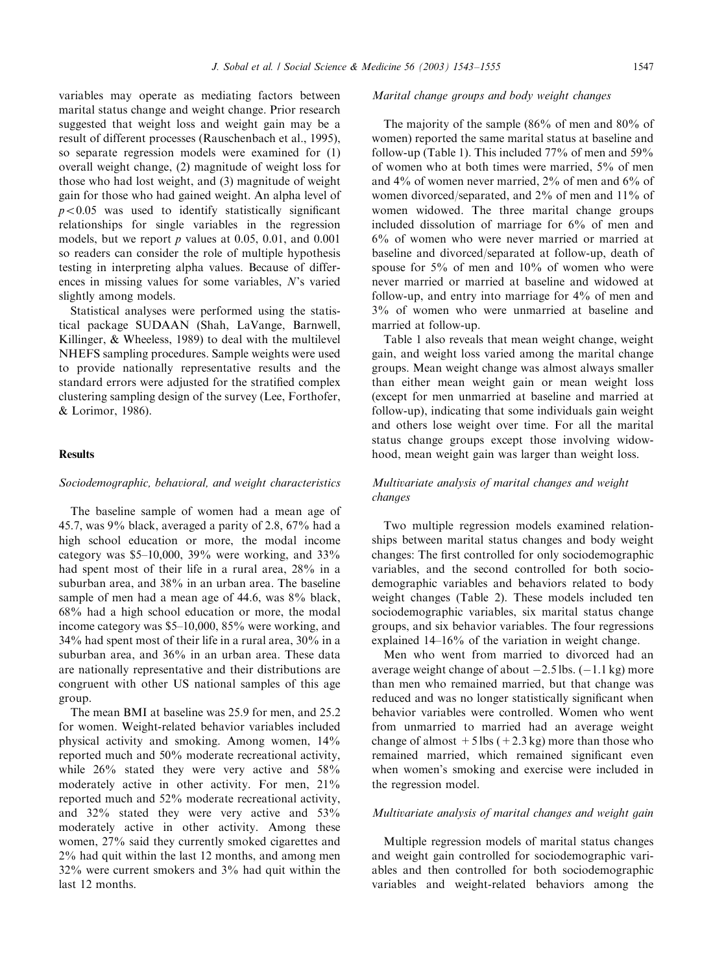variables may operate as mediating factors between marital status change and weight change. Prior research suggested that weight loss and weight gain may be a result of different processes (Rauschenbach et al., 1995), so separate regression models were examined for (1) overall weight change, (2) magnitude of weight loss for those who had lost weight, and (3) magnitude of weight gain for those who had gained weight. An alpha level of  $p < 0.05$  was used to identify statistically significant relationships for single variables in the regression models, but we report  $p$  values at 0.05, 0.01, and 0.001 so readers can consider the role of multiple hypothesis testing in interpreting alpha values. Because of differences in missing values for some variables, N's varied slightly among models.

Statistical analyses were performed using the statistical package SUDAAN (Shah, LaVange, Barnwell, Killinger, & Wheeless, 1989) to deal with the multilevel NHEFS sampling procedures. Sample weights were used to provide nationally representative results and the standard errors were adjusted for the stratified complex clustering sampling design of the survey (Lee, Forthofer, & Lorimor, 1986).

#### **Results**

## Sociodemographic, behavioral, and weight characteristics

The baseline sample of women had a mean age of 45.7, was 9% black, averaged a parity of 2.8, 67% had a high school education or more, the modal income category was  $$5-10,000$ ,  $39\%$  were working, and  $33\%$ had spent most of their life in a rural area, 28% in a suburban area, and 38% in an urban area. The baseline sample of men had a mean age of 44.6, was 8% black, 68% had a high school education or more, the modal income category was \$5–10,000, 85% were working, and 34% had spent most of their life in a rural area, 30% in a suburban area, and 36% in an urban area. These data are nationally representative and their distributions are congruent with other US national samples of this age group.

The mean BMI at baseline was 25.9 for men, and 25.2 for women. Weight-related behavior variables included physical activity and smoking. Among women, 14% reported much and 50% moderate recreational activity, while  $26\%$  stated they were very active and 58% moderately active in other activity. For men, 21% reported much and 52% moderate recreational activity, and 32% stated they were very active and 53% moderately active in other activity. Among these women, 27% said they currently smoked cigarettes and 2% had quit within the last 12 months, and among men 32% were current smokers and 3% had quit within the last 12 months.

## Marital change groups and body weight changes

The majority of the sample (86% of men and 80% of women) reported the same marital status at baseline and follow-up (Table 1). This included  $77\%$  of men and  $59\%$ of women who at both times were married, 5% of men and 4% of women never married, 2% of men and 6% of women divorced/separated, and 2% of men and 11% of women widowed. The three marital change groups included dissolution of marriage for 6% of men and 6% of women who were never married or married at baseline and divorced/separated at follow-up, death of spouse for  $5\%$  of men and  $10\%$  of women who were never married or married at baseline and widowed at follow-up, and entry into marriage for 4% of men and 3% of women who were unmarried at baseline and married at follow-up.

Table 1 also reveals that mean weight change, weight gain, and weight loss varied among the marital change groups. Mean weight change was almost always smaller than either mean weight gain or mean weight loss (except for men unmarried at baseline and married at follow-up), indicating that some individuals gain weight and others lose weight over time. For all the marital status change groups except those involving widowhood, mean weight gain was larger than weight loss.

## Multivariate analysis of marital changes and weight changes

Two multiple regression models examined relationships between marital status changes and body weight changes: The first controlled for only sociodemographic variables, and the second controlled for both sociodemographic variables and behaviors related to body weight changes (Table 2). These models included ten sociodemographic variables, six marital status change groups, and six behavior variables. The four regressions explained 14–16% of the variation in weight change.

Men who went from married to divorced had an average weight change of about  $-2.5$  lbs.  $(-1.1 \text{ kg})$  more than men who remained married, but that change was reduced and was no longer statistically significant when behavior variables were controlled. Women who went from unmarried to married had an average weight change of almost  $+5$  lbs ( $+2.3$  kg) more than those who remained married, which remained significant even when women's smoking and exercise were included in the regression model.

#### Multivariate analysis of marital changes and weight gain

Multiple regression models of marital status changes and weight gain controlled for sociodemographic variables and then controlled for both sociodemographic variables and weight-related behaviors among the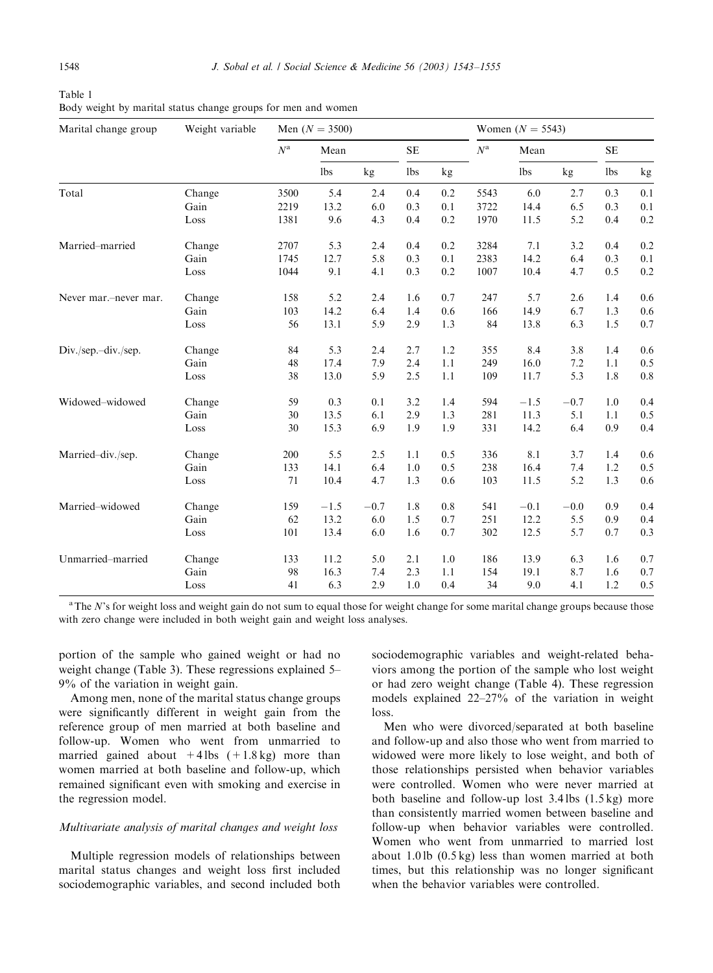| Marital change group  | Weight variable |             | Men $(N = 3500)$ |        |            | Women $(N = 5543)$ |             |            |           |            |     |  |
|-----------------------|-----------------|-------------|------------------|--------|------------|--------------------|-------------|------------|-----------|------------|-----|--|
|                       |                 | $N^{\rm a}$ | Mean             |        | SE         |                    | $N^{\rm a}$ | Mean       | <b>SE</b> |            |     |  |
|                       |                 |             | <b>lbs</b>       | kg     | <b>lbs</b> | kg                 |             | <b>lbs</b> | kg        | <b>lbs</b> | kg  |  |
| Total                 | Change          | 3500        | 5.4              | 2.4    | 0.4        | 0.2                | 5543        | 6.0        | 2.7       | 0.3        | 0.1 |  |
|                       | Gain            | 2219        | 13.2             | 6.0    | 0.3        | 0.1                | 3722        | 14.4       | 6.5       | 0.3        | 0.1 |  |
|                       | Loss            | 1381        | 9.6              | 4.3    | 0.4        | 0.2                | 1970        | 11.5       | 5.2       | 0.4        | 0.2 |  |
| Married-married       | Change          | 2707        | 5.3              | 2.4    | 0.4        | 0.2                | 3284        | 7.1        | 3.2       | 0.4        | 0.2 |  |
|                       | Gain            | 1745        | 12.7             | 5.8    | 0.3        | 0.1                | 2383        | 14.2       | 6.4       | 0.3        | 0.1 |  |
|                       | Loss            | 1044        | 9.1              | 4.1    | 0.3        | 0.2                | 1007        | 10.4       | 4.7       | 0.5        | 0.2 |  |
| Never mar.-never mar. | Change          | 158         | 5.2              | 2.4    | 1.6        | 0.7                | 247         | 5.7        | 2.6       | 1.4        | 0.6 |  |
|                       | Gain            | 103         | 14.2             | 6.4    | 1.4        | 0.6                | 166         | 14.9       | 6.7       | 1.3        | 0.6 |  |
|                       | Loss            | 56          | 13.1             | 5.9    | 2.9        | 1.3                | 84          | 13.8       | 6.3       | 1.5        | 0.7 |  |
| $Div./sep.-div./sep.$ | Change          | 84          | 5.3              | 2.4    | 2.7        | 1.2                | 355         | 8.4        | 3.8       | 1.4        | 0.6 |  |
|                       | Gain            | 48          | 17.4             | 7.9    | 2.4        | 1.1                | 249         | 16.0       | 7.2       | 1.1        | 0.5 |  |
|                       | Loss            | 38          | 13.0             | 5.9    | 2.5        | 1.1                | 109         | 11.7       | 5.3       | 1.8        | 0.8 |  |
| Widowed-widowed       | Change          | 59          | 0.3              | 0.1    | 3.2        | 1.4                | 594         | $-1.5$     | $-0.7$    | 1.0        | 0.4 |  |
|                       | Gain            | 30          | 13.5             | 6.1    | 2.9        | 1.3                | 281         | 11.3       | 5.1       | 1.1        | 0.5 |  |
|                       | Loss            | 30          | 15.3             | 6.9    | 1.9        | 1.9                | 331         | 14.2       | 6.4       | 0.9        | 0.4 |  |
| Married-div./sep.     | Change          | 200         | 5.5              | 2.5    | 1.1        | 0.5                | 336         | 8.1        | 3.7       | 1.4        | 0.6 |  |
|                       | Gain            | 133         | 14.1             | 6.4    | 1.0        | 0.5                | 238         | 16.4       | 7.4       | 1.2        | 0.5 |  |
|                       | Loss            | 71          | 10.4             | 4.7    | 1.3        | 0.6                | 103         | 11.5       | 5.2       | 1.3        | 0.6 |  |
| Married-widowed       | Change          | 159         | $-1.5$           | $-0.7$ | 1.8        | 0.8                | 541         | $-0.1$     | $-0.0$    | 0.9        | 0.4 |  |
|                       | Gain            | 62          | 13.2             | 6.0    | 1.5        | 0.7                | 251         | 12.2       | 5.5       | 0.9        | 0.4 |  |
|                       | Loss            | 101         | 13.4             | 6.0    | 1.6        | 0.7                | 302         | 12.5       | 5.7       | 0.7        | 0.3 |  |
| Unmarried-married     | Change          | 133         | 11.2             | 5.0    | 2.1        | 1.0                | 186         | 13.9       | 6.3       | 1.6        | 0.7 |  |
|                       | Gain            | 98          | 16.3             | 7.4    | 2.3        | 1.1                | 154         | 19.1       | 8.7       | 1.6        | 0.7 |  |
|                       | Loss            | 41          | 6.3              | 2.9    | 1.0        | 0.4                | 34          | 9.0        | 4.1       | 1.2        | 0.5 |  |

Table 1 Body weight by marital status change groups for men and women

<sup>a</sup> The N's for weight loss and weight gain do not sum to equal those for weight change for some marital change groups because those with zero change were included in both weight gain and weight loss analyses.

portion of the sample who gained weight or had no weight change (Table 3). These regressions explained 5– 9% of the variation in weight gain.

Among men, none of the marital status change groups were significantly different in weight gain from the reference group of men married at both baseline and follow-up. Women who went from unmarried to married gained about  $+4$  lbs  $(+1.8 \text{ kg})$  more than women married at both baseline and follow-up, which remained significant even with smoking and exercise in the regression model.

## Multivariate analysis of marital changes and weight loss

Multiple regression models of relationships between marital status changes and weight loss first included sociodemographic variables, and second included both

sociodemographic variables and weight-related behaviors among the portion of the sample who lost weight or had zero weight change (Table 4). These regression models explained 22–27% of the variation in weight loss.

Men who were divorced/separated at both baseline and follow-up and also those who went from married to widowed were more likely to lose weight, and both of those relationships persisted when behavior variables were controlled. Women who were never married at both baseline and follow-up lost 3.4 lbs (1.5 kg) more than consistently married women between baseline and follow-up when behavior variables were controlled. Women who went from unmarried to married lost about 1.0 lb (0.5 kg) less than women married at both times, but this relationship was no longer significant when the behavior variables were controlled.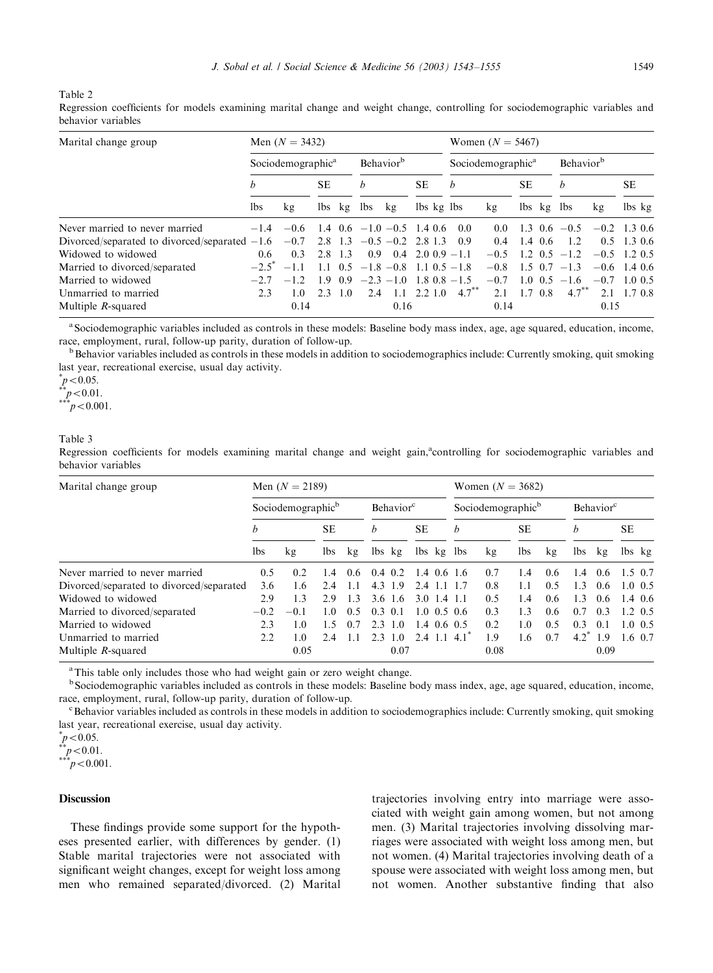Table 2

Regression coefficients for models examining marital change and weight change, controlling for sociodemographic variables and behavior variables

| Marital change group                            |                               | Men $(N = 3432)$ |                              |               |     |                               |                           | Women $(N = 5467)$            |        |                              |               |                            |      |                |  |
|-------------------------------------------------|-------------------------------|------------------|------------------------------|---------------|-----|-------------------------------|---------------------------|-------------------------------|--------|------------------------------|---------------|----------------------------|------|----------------|--|
|                                                 | Sociodemographic <sup>a</sup> |                  | <b>Behavior</b> <sup>b</sup> |               |     | Sociodemographic <sup>a</sup> |                           |                               |        | <b>Behavior</b> <sup>b</sup> |               |                            |      |                |  |
|                                                 |                               | $\boldsymbol{b}$ |                              | <b>SE</b>     |     | h                             |                           | <b>SE</b><br>$\boldsymbol{b}$ |        | <b>SE</b>                    |               | h                          |      | SE             |  |
|                                                 | <b>lbs</b>                    | kg               |                              | lbs kg        | 1bs | $\log$                        | lbs kg lbs                |                               | kg     |                              | lbs kg lbs    |                            | kg   | lbs kg         |  |
| Never married to never married                  | $-1.4$                        | $-0.6$           | 1.4                          | $0.6^{\circ}$ |     |                               | $-1.0 - 0.5$ 1.4 0.6      | 0.0                           | 0.0    |                              | $1.3 \t0.6$   | $-0.5$                     |      | $-0.2$ 1.3 0.6 |  |
| Divorced/separated to divorced/separated $-1.6$ |                               | $-0.7$           | 2.8                          | 1.3           |     | $-0.5 - 0.2$                  | 2.8 1.3                   | 0.9                           | 0.4    | 1.4                          | 0.6           | 12                         |      | $0.5$ 1.3 0.6  |  |
| Widowed to widowed                              | $0.6^{\circ}$                 | 0.3              | 2.8                          | 1.3           | 0.9 |                               | $0.4$ 2.0 0.9 $-1.1$      |                               | $-0.5$ |                              |               | $1.2 \quad 0.5 \quad -1.2$ |      | $-0.5$ 1.2 0.5 |  |
| Married to divorced/separated                   | $-2.5$ <sup>*</sup>           | $-1.1$           | 1.1                          | 0.5           |     | $-1.8 - 0.8$                  | $1.1 \t0.5 - 1.8$         |                               | $-0.8$ |                              | $1.5 \t0.7$   | $-1.3$                     |      | $-0.6$ 1.4 0.6 |  |
| Married to widowed                              | $-2.7$                        | $-12$            | 19                           | 0.9           |     | $-2.3 - 1.0$                  | $1.8 \t0.8 - 1.5$         |                               | $-0.7$ |                              | $1.0 \ \ 0.5$ | $-1.6$                     |      | $-0.7$ 1.0 0.5 |  |
| Unmarried to married                            | 2.3                           | $1.0^{\circ}$    | 23                           | 1.0           | 2.4 |                               | $1.1 \quad 2.2 \quad 1.0$ | $4.7***$                      | 2.1    | 1.7 0.8                      |               | $4.7***$                   |      | 2.1 1.7 0.8    |  |
| Multiple R-squared                              |                               | 0.14             |                              |               |     | 0.16                          |                           |                               | 0.14   |                              |               |                            | 0.15 |                |  |

<sup>a</sup> Sociodemographic variables included as controls in these models: Baseline body mass index, age, age squared, education, income, race, employment, rural, follow-up parity, duration of follow-up.<br><sup>b</sup>Behavior variables included as controls in these models in addition to sociodemographics include: Currently smoking, quit smoking

last year, recreational exercise, usual day activity.

 $p$  < 0.05.

 $\int_{0}^{3}\frac{p}{p} < 0.01$ .

#### Table 3

Regression coefficients for models examining marital change and weight gain,<sup>a</sup>controlling for sociodemographic variables and behavior variables

| Marital change group                     |        | Men $(N = 2189)$              |                |     |                       |                   | Women $(N = 3682)$            |      |           |               |                       |                |               |  |
|------------------------------------------|--------|-------------------------------|----------------|-----|-----------------------|-------------------|-------------------------------|------|-----------|---------------|-----------------------|----------------|---------------|--|
|                                          |        | Sociodemographic <sup>b</sup> |                |     | Behavior <sup>c</sup> |                   | Sociodemographic <sup>b</sup> |      |           |               | Behavior <sup>c</sup> |                |               |  |
|                                          |        | h                             |                |     | h                     | <b>SE</b>         | h                             |      | <b>SE</b> |               | h                     |                | <b>SE</b>     |  |
|                                          | 1bs    | kg                            | lbs            | kg  | lbs kg                | lbs kg lbs        |                               | kg   | lbs       | kg            | lbs                   | kg             | lbs kg        |  |
| Never married to never married           | 0.5    | 0.2                           | $\overline{4}$ | 06  | 0.2<br>0.4            | 1.4               | $0.6 \text{ } 1.6$            | 0.7  | 1.4       | 0.6           | 14                    | 0.6            | $1.5 \ \ 0.7$ |  |
| Divorced/separated to divorced/separated | 3.6    | 1.6                           | 2.4            |     | 4.3<br>19             | 2.4               | 1.7                           | 0.8  | 1.1       | 0.5           | 13                    | 0 <sub>6</sub> | $1.0 \ \ 0.5$ |  |
| Widowed to widowed                       | 2.9    | 1.3                           | 2.9            | 13  | 3.6 1.6               | 30 14 11          |                               | 0.5  | 1.4       | $0.6^{\circ}$ | 13                    | $0.6^{\circ}$  | $1.4 \; 0.6$  |  |
| Married to divorced/separated            | $-0.2$ | $-0.1$                        | 1.0            | 0.5 | 0.3<br>0.1            | $1.0 \t0.5 \t0.6$ |                               | 0.3  | 1.3       | $0.6^{\circ}$ | 0.7                   | 0.3            | $1.2 \; 0.5$  |  |
| Married to widowed                       | 2.3    | $1.0^{\circ}$                 | 1.5            | 0.7 | 23<br>1.0             | 1.4               | $0.6 \, 0.5$                  | 0.2  | 1.0       | 0.5           | 0.3                   | 0.1            | $1.0 \ \ 0.5$ |  |
| Unmarried to married                     | 2.2    | 1.0                           | 2.4            |     | 23<br>$\Omega$        | $2.4$ 1.1 4.1     |                               | 1.9  | 1.6       | 0.7           | $4.2^{\degree}$       | 1.9            | $1.6 \t0.7$   |  |
| Multiple R-squared                       |        | 0.05                          |                |     | 0.07                  |                   |                               | 0.08 |           |               |                       | 0.09           |               |  |

<sup>a</sup>This table only includes those who had weight gain or zero weight change.

<sup>b</sup> Sociodemographic variables included as controls in these models: Baseline body mass index, age, age squared, education, income, race, employment, rural, follow-up parity, duration of follow-up.

 $\textdegree$ Behavior variables included as controls in these models in addition to sociodemographics include: Currently smoking, quit smoking last year, recreational exercise, usual day activity.

 $p$  < 0.05.

 $\int_{p}^{4} p < 0.01$ .<br>\*\*\*p $< 0.001$ .

## **Discussion**

These findings provide some support for the hypotheses presented earlier, with differences by gender. (1) Stable marital trajectories were not associated with significant weight changes, except for weight loss among men who remained separated/divorced. (2) Marital trajectories involving entry into marriage were associated with weight gain among women, but not among men. (3) Marital trajectories involving dissolving marriages were associated with weight loss among men, but not women. (4) Marital trajectories involving death of a spouse were associated with weight loss among men, but not women. Another substantive finding that also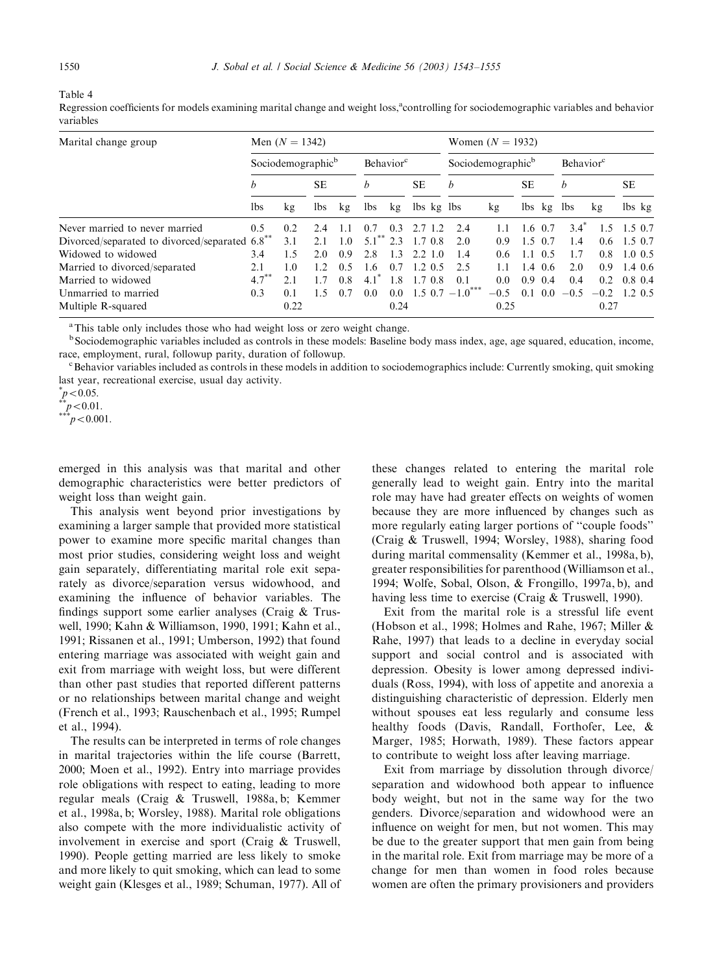| c<br>× |  |
|--------|--|

Regression coefficients for models examining marital change and weight loss,<sup>a</sup>controlling for sociodemographic variables and behavior variables

| Marital change group                                      |                     | Men $(N = 1342)$              |           |              |                |                       |              | Women $(N = 1932)$                |                               |             |               |                  |                       |              |  |  |
|-----------------------------------------------------------|---------------------|-------------------------------|-----------|--------------|----------------|-----------------------|--------------|-----------------------------------|-------------------------------|-------------|---------------|------------------|-----------------------|--------------|--|--|
|                                                           |                     | Sociodemographic <sup>b</sup> |           |              |                | Behavior <sup>c</sup> |              |                                   | Sociodemographic <sup>b</sup> |             |               |                  | Behavior <sup>c</sup> |              |  |  |
|                                                           |                     |                               | <b>SE</b> |              | h              |                       | <b>SE</b>    | h                                 |                               |             |               | $\boldsymbol{b}$ |                       | <b>SE</b>    |  |  |
|                                                           | 1bs                 | kg                            | lbs.      | kg           | lbs            | kg                    | lbs kg lbs   |                                   | kg                            |             | lbs kg        | lbs              | kg                    | lbs kg       |  |  |
| Never married to never married                            | 0.5                 | 0.2                           | 2.4       | $\mathbf{L}$ | 0.7            | 03                    |              | 2.4                               |                               |             | 16 07         | $3.4^*$          | 1 <sub>5</sub>        | 1507         |  |  |
| Divorced/separated to divorced/separated 6.8 <sup>*</sup> |                     | 3.1                           | 2.1       | 10           | $51***23$      |                       | 1.7 0.8      | 2.0                               | 0.9                           | 1.5 0.7     |               | 1.4              | 0.6                   | 1.5 0.7      |  |  |
| Widowed to widowed                                        | 3.4                 | 1.5                           | 2.0       | 0.9          | 2.8            | 1.3                   | 2.2.10       | 1.4                               | $0.6^{\circ}$                 | 1.1         | - 0.5         | 17               | 0.8                   | $1.0 \; 0.5$ |  |  |
| Married to divorced/separated                             | 2.1                 | 1.0                           | 1.2       | 0.5          | 1.6            | 0.7                   | 1.2, 0.5     | 25                                |                               |             | $1.4 \pm 0.6$ | 2.0              | 0.9                   | $1.4 \; 0.6$ |  |  |
| Married to widowed                                        | $4.7$ <sup>**</sup> | 2 <sub>1</sub>                | 17        | 0.8          | 41             | 18                    | $1.7 \; 0.8$ | 0.1                               | 0 <sub>0</sub>                | 0.9         | 0.4           | 0.4              | 0.2                   | 0.8 0.4      |  |  |
| Unmarried to married                                      | 0.3                 | 0.1                           | 1.5       | 0.7          | 0 <sub>0</sub> | 0.0                   |              | $1.5 \t0.7 \t-1.0$ <sup>***</sup> | $-0.5$                        | $0.1 \ 0.0$ |               | $-0.5$           | $-0.2$                | $1.2 \; 0.5$ |  |  |
| Multiple R-squared                                        |                     | 0.22                          |           |              |                | 0.24                  |              |                                   | 0.25                          |             |               |                  | 0.27                  |              |  |  |

<sup>a</sup>This table only includes those who had weight loss or zero weight change.

<sup>b</sup> Sociodemographic variables included as controls in these models: Baseline body mass index, age, age squared, education, income, race, employment, rural, followup parity, duration of followup.

<sup>c</sup> Behavior variables included as controls in these models in addition to sociodemographics include: Currently smoking, quit smoking last year, recreational exercise, usual day activity.

 $\gamma$  = 0.05.

 $\sum_{n=0}^{n=0} p < 0.01.$ <br>\*\*\*p $< 0.001.$ 

emerged in this analysis was that marital and other demographic characteristics were better predictors of weight loss than weight gain.

This analysis went beyond prior investigations by examining a larger sample that provided more statistical power to examine more specific marital changes than most prior studies, considering weight loss and weight gain separately, differentiating marital role exit separately as divorce/separation versus widowhood, and examining the influence of behavior variables. The findings support some earlier analyses (Craig & Truswell, 1990; Kahn & Williamson, 1990, 1991; Kahn et al., 1991; Rissanen et al., 1991; Umberson, 1992) that found entering marriage was associated with weight gain and exit from marriage with weight loss, but were different than other past studies that reported different patterns or no relationships between marital change and weight (French et al., 1993; Rauschenbach et al., 1995; Rumpel et al., 1994).

The results can be interpreted in terms of role changes in marital trajectories within the life course (Barrett, 2000; Moen et al., 1992). Entry into marriage provides role obligations with respect to eating, leading to more regular meals (Craig & Truswell, 1988a, b; Kemmer et al., 1998a, b; Worsley, 1988). Marital role obligations also compete with the more individualistic activity of involvement in exercise and sport (Craig & Truswell, 1990). People getting married are less likely to smoke and more likely to quit smoking, which can lead to some weight gain (Klesges et al., 1989; Schuman, 1977). All of

these changes related to entering the marital role generally lead to weight gain. Entry into the marital role may have had greater effects on weights of women because they are more influenced by changes such as more regularly eating larger portions of ''couple foods'' (Craig & Truswell, 1994; Worsley, 1988), sharing food during marital commensality (Kemmer et al., 1998a, b), greater responsibilities for parenthood (Williamson et al., 1994; Wolfe, Sobal, Olson, & Frongillo, 1997a, b), and having less time to exercise (Craig & Truswell, 1990).

Exit from the marital role is a stressful life event (Hobson et al., 1998; Holmes and Rahe, 1967; Miller & Rahe, 1997) that leads to a decline in everyday social support and social control and is associated with depression. Obesity is lower among depressed individuals (Ross, 1994), with loss of appetite and anorexia a distinguishing characteristic of depression. Elderly men without spouses eat less regularly and consume less healthy foods (Davis, Randall, Forthofer, Lee, & Marger, 1985; Horwath, 1989). These factors appear to contribute to weight loss after leaving marriage.

Exit from marriage by dissolution through divorce/ separation and widowhood both appear to influence body weight, but not in the same way for the two genders. Divorce/separation and widowhood were an influence on weight for men, but not women. This may be due to the greater support that men gain from being in the marital role. Exit from marriage may be more of a change for men than women in food roles because women are often the primary provisioners and providers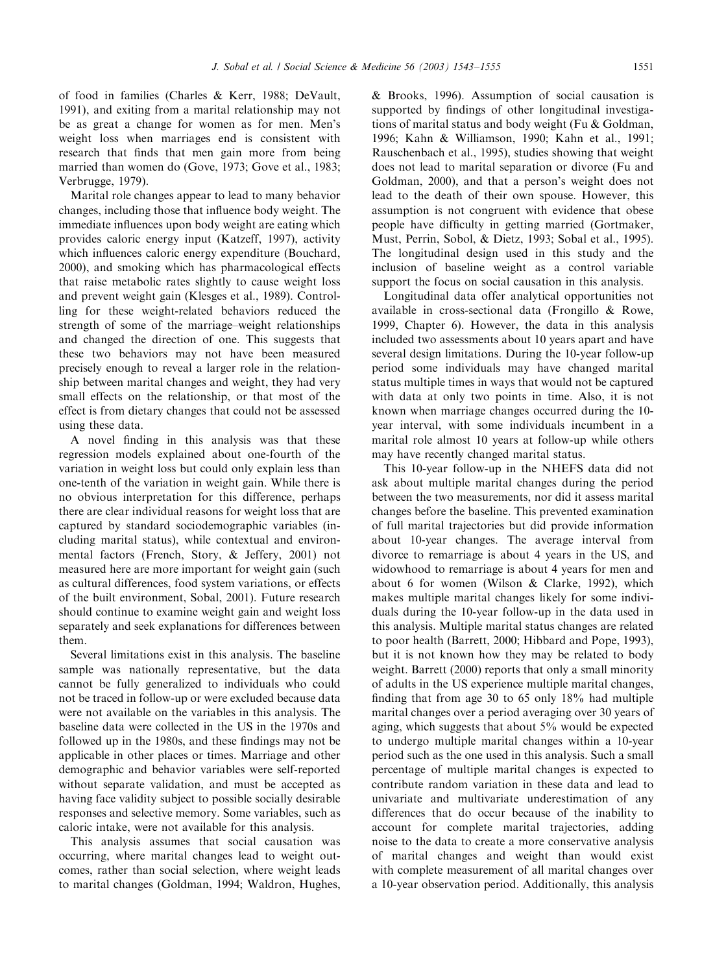of food in families (Charles & Kerr, 1988; DeVault, 1991), and exiting from a marital relationship may not be as great a change for women as for men. Men's weight loss when marriages end is consistent with research that finds that men gain more from being married than women do (Gove, 1973; Gove et al., 1983; Verbrugge, 1979).

Marital role changes appear to lead to many behavior changes, including those that influence body weight. The immediate influences upon body weight are eating which provides caloric energy input (Katzeff, 1997), activity which influences caloric energy expenditure (Bouchard, 2000), and smoking which has pharmacological effects that raise metabolic rates slightly to cause weight loss and prevent weight gain (Klesges et al., 1989). Controlling for these weight-related behaviors reduced the strength of some of the marriage–weight relationships and changed the direction of one. This suggests that these two behaviors may not have been measured precisely enough to reveal a larger role in the relationship between marital changes and weight, they had very small effects on the relationship, or that most of the effect is from dietary changes that could not be assessed using these data.

A novel finding in this analysis was that these regression models explained about one-fourth of the variation in weight loss but could only explain less than one-tenth of the variation in weight gain. While there is no obvious interpretation for this difference, perhaps there are clear individual reasons for weight loss that are captured by standard sociodemographic variables (including marital status), while contextual and environmental factors (French, Story, & Jeffery, 2001) not measured here are more important for weight gain (such as cultural differences, food system variations, or effects of the built environment, Sobal, 2001). Future research should continue to examine weight gain and weight loss separately and seek explanations for differences between them.

Several limitations exist in this analysis. The baseline sample was nationally representative, but the data cannot be fully generalized to individuals who could not be traced in follow-up or were excluded because data were not available on the variables in this analysis. The baseline data were collected in the US in the 1970s and followed up in the 1980s, and these findings may not be applicable in other places or times. Marriage and other demographic and behavior variables were self-reported without separate validation, and must be accepted as having face validity subject to possible socially desirable responses and selective memory. Some variables, such as caloric intake, were not available for this analysis.

This analysis assumes that social causation was occurring, where marital changes lead to weight outcomes, rather than social selection, where weight leads to marital changes (Goldman, 1994; Waldron, Hughes, & Brooks, 1996). Assumption of social causation is supported by findings of other longitudinal investigations of marital status and body weight (Fu & Goldman, 1996; Kahn & Williamson, 1990; Kahn et al., 1991; Rauschenbach et al., 1995), studies showing that weight does not lead to marital separation or divorce (Fu and Goldman, 2000), and that a person's weight does not lead to the death of their own spouse. However, this assumption is not congruent with evidence that obese people have difficulty in getting married (Gortmaker, Must, Perrin, Sobol, & Dietz, 1993; Sobal et al., 1995). The longitudinal design used in this study and the inclusion of baseline weight as a control variable support the focus on social causation in this analysis.

Longitudinal data offer analytical opportunities not available in cross-sectional data (Frongillo & Rowe, 1999, Chapter 6). However, the data in this analysis included two assessments about 10 years apart and have several design limitations. During the 10-year follow-up period some individuals may have changed marital status multiple times in ways that would not be captured with data at only two points in time. Also, it is not known when marriage changes occurred during the 10 year interval, with some individuals incumbent in a marital role almost 10 years at follow-up while others may have recently changed marital status.

This 10-year follow-up in the NHEFS data did not ask about multiple marital changes during the period between the two measurements, nor did it assess marital changes before the baseline. This prevented examination of full marital trajectories but did provide information about 10-year changes. The average interval from divorce to remarriage is about 4 years in the US, and widowhood to remarriage is about 4 years for men and about 6 for women (Wilson & Clarke, 1992), which makes multiple marital changes likely for some individuals during the 10-year follow-up in the data used in this analysis. Multiple marital status changes are related to poor health (Barrett, 2000; Hibbard and Pope, 1993), but it is not known how they may be related to body weight. Barrett (2000) reports that only a small minority of adults in the US experience multiple marital changes, finding that from age 30 to 65 only 18% had multiple marital changes over a period averaging over 30 years of aging, which suggests that about 5% would be expected to undergo multiple marital changes within a 10-year period such as the one used in this analysis. Such a small percentage of multiple marital changes is expected to contribute random variation in these data and lead to univariate and multivariate underestimation of any differences that do occur because of the inability to account for complete marital trajectories, adding noise to the data to create a more conservative analysis of marital changes and weight than would exist with complete measurement of all marital changes over a 10-year observation period. Additionally, this analysis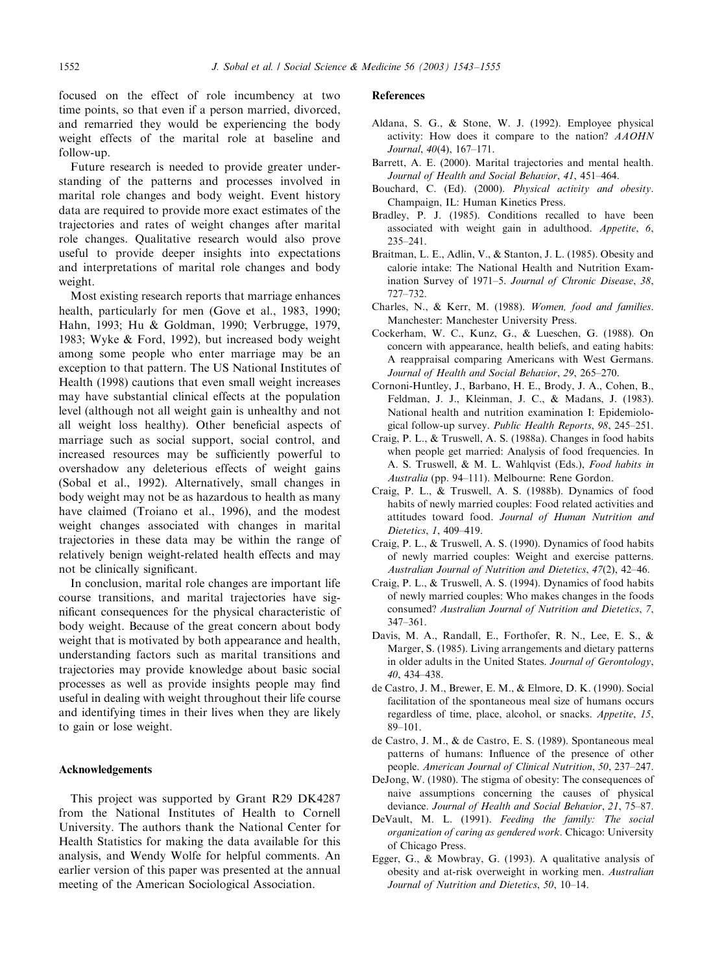focused on the effect of role incumbency at two time points, so that even if a person married, divorced, and remarried they would be experiencing the body weight effects of the marital role at baseline and follow-up.

Future research is needed to provide greater understanding of the patterns and processes involved in marital role changes and body weight. Event history data are required to provide more exact estimates of the trajectories and rates of weight changes after marital role changes. Qualitative research would also prove useful to provide deeper insights into expectations and interpretations of marital role changes and body weight.

Most existing research reports that marriage enhances health, particularly for men (Gove et al., 1983, 1990; Hahn, 1993; Hu & Goldman, 1990; Verbrugge, 1979, 1983; Wyke & Ford, 1992), but increased body weight among some people who enter marriage may be an exception to that pattern. The US National Institutes of Health (1998) cautions that even small weight increases may have substantial clinical effects at the population level (although not all weight gain is unhealthy and not all weight loss healthy). Other beneficial aspects of marriage such as social support, social control, and increased resources may be sufficiently powerful to overshadow any deleterious effects of weight gains (Sobal et al., 1992). Alternatively, small changes in body weight may not be as hazardous to health as many have claimed (Troiano et al., 1996), and the modest weight changes associated with changes in marital trajectories in these data may be within the range of relatively benign weight-related health effects and may not be clinically significant.

In conclusion, marital role changes are important life course transitions, and marital trajectories have significant consequences for the physical characteristic of body weight. Because of the great concern about body weight that is motivated by both appearance and health, understanding factors such as marital transitions and trajectories may provide knowledge about basic social processes as well as provide insights people may find useful in dealing with weight throughout their life course and identifying times in their lives when they are likely to gain or lose weight.

## Acknowledgements

This project was supported by Grant R29 DK4287 from the National Institutes of Health to Cornell University. The authors thank the National Center for Health Statistics for making the data available for this analysis, and Wendy Wolfe for helpful comments. An earlier version of this paper was presented at the annual meeting of the American Sociological Association.

#### References

- Aldana, S. G., & Stone, W. J. (1992). Employee physical activity: How does it compare to the nation? AAOHN Journal, 40(4), 167–171.
- Barrett, A. E. (2000). Marital trajectories and mental health. Journal of Health and Social Behavior, 41, 451–464.
- Bouchard, C. (Ed). (2000). Physical activity and obesity. Champaign, IL: Human Kinetics Press.
- Bradley, P. J. (1985). Conditions recalled to have been associated with weight gain in adulthood. Appetite, 6, 235–241.
- Braitman, L. E., Adlin, V., & Stanton, J. L. (1985). Obesity and calorie intake: The National Health and Nutrition Examination Survey of 1971–5. Journal of Chronic Disease, 38, 727–732.
- Charles, N., & Kerr, M. (1988). Women, food and families. Manchester: Manchester University Press.
- Cockerham, W. C., Kunz, G., & Lueschen, G. (1988). On concern with appearance, health beliefs, and eating habits: A reappraisal comparing Americans with West Germans. Journal of Health and Social Behavior, 29, 265–270.
- Cornoni-Huntley, J., Barbano, H. E., Brody, J. A., Cohen, B., Feldman, J. J., Kleinman, J. C., & Madans, J. (1983). National health and nutrition examination I: Epidemiological follow-up survey. Public Health Reports, 98, 245–251.
- Craig, P. L., & Truswell, A. S. (1988a). Changes in food habits when people get married: Analysis of food frequencies. In A. S. Truswell, & M. L. Wahlqvist (Eds.), Food habits in Australia (pp. 94–111). Melbourne: Rene Gordon.
- Craig, P. L., & Truswell, A. S. (1988b). Dynamics of food habits of newly married couples: Food related activities and attitudes toward food. Journal of Human Nutrition and Dietetics, 1, 409–419.
- Craig, P. L., & Truswell, A. S. (1990). Dynamics of food habits of newly married couples: Weight and exercise patterns. Australian Journal of Nutrition and Dietetics, 47(2), 42–46.
- Craig, P. L., & Truswell, A. S. (1994). Dynamics of food habits of newly married couples: Who makes changes in the foods consumed? Australian Journal of Nutrition and Dietetics, 7, 347–361.
- Davis, M. A., Randall, E., Forthofer, R. N., Lee, E. S., & Marger, S. (1985). Living arrangements and dietary patterns in older adults in the United States. Journal of Gerontology, 40, 434–438.
- de Castro, J. M., Brewer, E. M., & Elmore, D. K. (1990). Social facilitation of the spontaneous meal size of humans occurs regardless of time, place, alcohol, or snacks. Appetite, 15, 89–101.
- de Castro, J. M., & de Castro, E. S. (1989). Spontaneous meal patterns of humans: Influence of the presence of other people. American Journal of Clinical Nutrition, 50, 237–247.
- DeJong, W. (1980). The stigma of obesity: The consequences of naive assumptions concerning the causes of physical deviance. Journal of Health and Social Behavior, 21, 75–87.
- DeVault, M. L. (1991). Feeding the family: The social organization of caring as gendered work. Chicago: University of Chicago Press.
- Egger, G., & Mowbray, G. (1993). A qualitative analysis of obesity and at-risk overweight in working men. Australian Journal of Nutrition and Dietetics, 50, 10–14.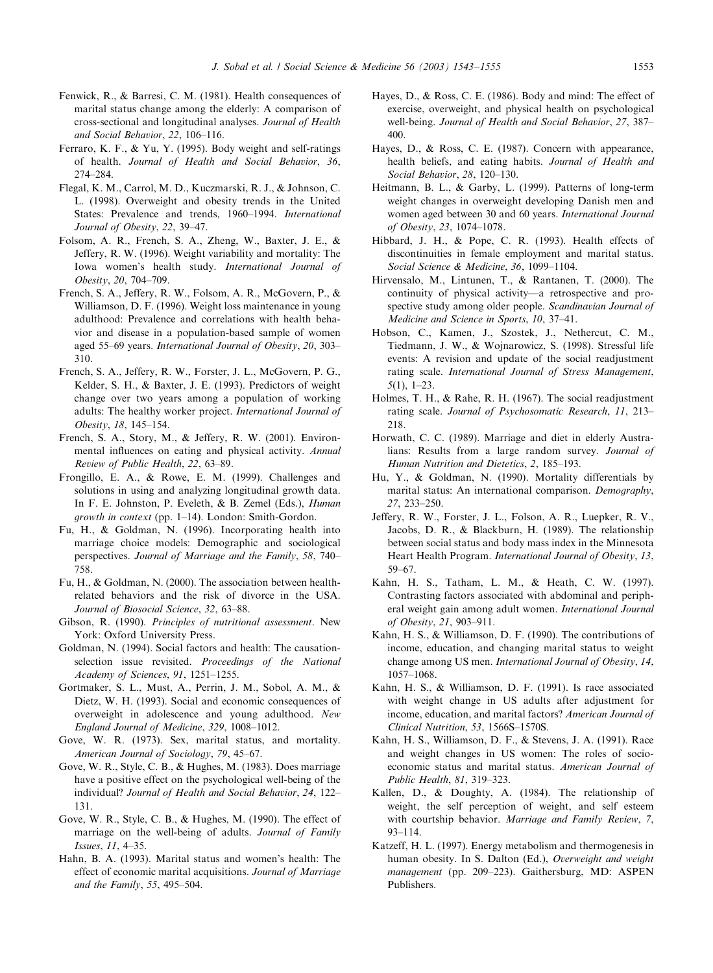- Fenwick, R., & Barresi, C. M. (1981). Health consequences of marital status change among the elderly: A comparison of cross-sectional and longitudinal analyses. Journal of Health and Social Behavior, 22, 106–116.
- Ferraro, K. F., & Yu, Y. (1995). Body weight and self-ratings of health. Journal of Health and Social Behavior, 36, 274–284.
- Flegal, K. M., Carrol, M. D., Kuczmarski, R. J., & Johnson, C. L. (1998). Overweight and obesity trends in the United States: Prevalence and trends, 1960–1994. International Journal of Obesity, 22, 39–47.
- Folsom, A. R., French, S. A., Zheng, W., Baxter, J. E., & Jeffery, R. W. (1996). Weight variability and mortality: The Iowa women's health study. International Journal of Obesity, 20, 704–709.
- French, S. A., Jeffery, R. W., Folsom, A. R., McGovern, P., & Williamson, D. F. (1996). Weight loss maintenance in young adulthood: Prevalence and correlations with health behavior and disease in a population-based sample of women aged 55–69 years. International Journal of Obesity, 20, 303– 310.
- French, S. A., Jeffery, R. W., Forster, J. L., McGovern, P. G., Kelder, S. H., & Baxter, J. E. (1993). Predictors of weight change over two years among a population of working adults: The healthy worker project. International Journal of Obesity, 18, 145–154.
- French, S. A., Story, M., & Jeffery, R. W. (2001). Environmental influences on eating and physical activity. Annual Review of Public Health, 22, 63–89.
- Frongillo, E. A., & Rowe, E. M. (1999). Challenges and solutions in using and analyzing longitudinal growth data. In F. E. Johnston, P. Eveleth, & B. Zemel (Eds.), Human growth in context (pp. 1–14). London: Smith-Gordon.
- Fu, H., & Goldman, N. (1996). Incorporating health into marriage choice models: Demographic and sociological perspectives. Journal of Marriage and the Family, 58, 740– 758.
- Fu, H., & Goldman, N. (2000). The association between healthrelated behaviors and the risk of divorce in the USA. Journal of Biosocial Science, 32, 63–88.
- Gibson, R. (1990). Principles of nutritional assessment. New York: Oxford University Press.
- Goldman, N. (1994). Social factors and health: The causationselection issue revisited. Proceedings of the National Academy of Sciences, 91, 1251–1255.
- Gortmaker, S. L., Must, A., Perrin, J. M., Sobol, A. M., & Dietz, W. H. (1993). Social and economic consequences of overweight in adolescence and young adulthood. New England Journal of Medicine, 329, 1008–1012.
- Gove, W. R. (1973). Sex, marital status, and mortality. American Journal of Sociology, 79, 45–67.
- Gove, W. R., Style, C. B., & Hughes, M. (1983). Does marriage have a positive effect on the psychological well-being of the individual? Journal of Health and Social Behavior, 24, 122– 131.
- Gove, W. R., Style, C. B., & Hughes, M. (1990). The effect of marriage on the well-being of adults. Journal of Family Issues, 11, 4–35.
- Hahn, B. A. (1993). Marital status and women's health: The effect of economic marital acquisitions. Journal of Marriage and the Family, 55, 495–504.
- Hayes, D., & Ross, C. E. (1986). Body and mind: The effect of exercise, overweight, and physical health on psychological well-being. Journal of Health and Social Behavior, 27, 387– 400.
- Hayes, D., & Ross, C. E. (1987). Concern with appearance, health beliefs, and eating habits. Journal of Health and Social Behavior, 28, 120–130.
- Heitmann, B. L., & Garby, L. (1999). Patterns of long-term weight changes in overweight developing Danish men and women aged between 30 and 60 years. International Journal of Obesity, 23, 1074–1078.
- Hibbard, J. H., & Pope, C. R. (1993). Health effects of discontinuities in female employment and marital status. Social Science & Medicine, 36, 1099–1104.
- Hirvensalo, M., Lintunen, T., & Rantanen, T. (2000). The continuity of physical activity—a retrospective and prospective study among older people. Scandinavian Journal of Medicine and Science in Sports, 10, 37–41.
- Hobson, C., Kamen, J., Szostek, J., Nethercut, C. M., Tiedmann, J. W., & Wojnarowicz, S. (1998). Stressful life events: A revision and update of the social readjustment rating scale. International Journal of Stress Management,  $5(1)$ , 1–23.
- Holmes, T. H., & Rahe, R. H. (1967). The social readjustment rating scale. Journal of Psychosomatic Research, 11, 213– 218.
- Horwath, C. C. (1989). Marriage and diet in elderly Australians: Results from a large random survey. Journal of Human Nutrition and Dietetics, 2, 185–193.
- Hu, Y., & Goldman, N. (1990). Mortality differentials by marital status: An international comparison. Demography, 27, 233–250.
- Jeffery, R. W., Forster, J. L., Folson, A. R., Luepker, R. V., Jacobs, D. R., & Blackburn, H. (1989). The relationship between social status and body mass index in the Minnesota Heart Health Program. International Journal of Obesity, 13, 59–67.
- Kahn, H. S., Tatham, L. M., & Heath, C. W. (1997). Contrasting factors associated with abdominal and peripheral weight gain among adult women. International Journal of Obesity, 21, 903–911.
- Kahn, H. S., & Williamson, D. F. (1990). The contributions of income, education, and changing marital status to weight change among US men. International Journal of Obesity, 14, 1057–1068.
- Kahn, H. S., & Williamson, D. F. (1991). Is race associated with weight change in US adults after adjustment for income, education, and marital factors? American Journal of Clinical Nutrition, 53, 1566S–1570S.
- Kahn, H. S., Williamson, D. F., & Stevens, J. A. (1991). Race and weight changes in US women: The roles of socioeconomic status and marital status. American Journal of Public Health, 81, 319–323.
- Kallen, D., & Doughty, A. (1984). The relationship of weight, the self perception of weight, and self esteem with courtship behavior. Marriage and Family Review, 7, 93–114.
- Katzeff, H. L. (1997). Energy metabolism and thermogenesis in human obesity. In S. Dalton (Ed.), Overweight and weight management (pp. 209–223). Gaithersburg, MD: ASPEN Publishers.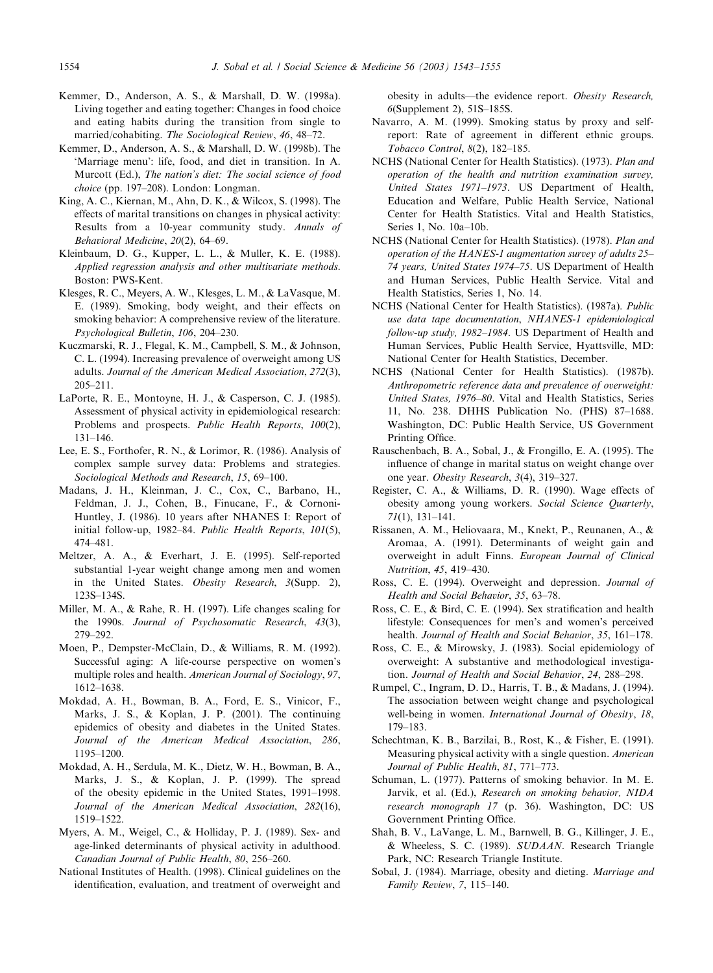- Kemmer, D., Anderson, A. S., & Marshall, D. W. (1998a). Living together and eating together: Changes in food choice and eating habits during the transition from single to
- married/cohabiting. The Sociological Review, 46, 48–72. Kemmer, D., Anderson, A. S., & Marshall, D. W. (1998b). The 'Marriage menu': life, food, and diet in transition. In A. Murcott (Ed.), The nation's diet: The social science of food choice (pp. 197–208). London: Longman.
- King, A. C., Kiernan, M., Ahn, D. K., & Wilcox, S. (1998). The effects of marital transitions on changes in physical activity: Results from a 10-year community study. Annals of Behavioral Medicine, 20(2), 64–69.
- Kleinbaum, D. G., Kupper, L. L., & Muller, K. E. (1988). Applied regression analysis and other multivariate methods. Boston: PWS-Kent.
- Klesges, R. C., Meyers, A. W., Klesges, L. M., & LaVasque, M. E. (1989). Smoking, body weight, and their effects on smoking behavior: A comprehensive review of the literature. Psychological Bulletin, 106, 204–230.
- Kuczmarski, R. J., Flegal, K. M., Campbell, S. M., & Johnson, C. L. (1994). Increasing prevalence of overweight among US adults. Journal of the American Medical Association, 272(3), 205–211.
- LaPorte, R. E., Montoyne, H. J., & Casperson, C. J. (1985). Assessment of physical activity in epidemiological research: Problems and prospects. Public Health Reports, 100(2), 131–146.
- Lee, E. S., Forthofer, R. N., & Lorimor, R. (1986). Analysis of complex sample survey data: Problems and strategies. Sociological Methods and Research, 15, 69–100.
- Madans, J. H., Kleinman, J. C., Cox, C., Barbano, H., Feldman, J. J., Cohen, B., Finucane, F., & Cornoni-Huntley, J. (1986). 10 years after NHANES I: Report of initial follow-up, 1982–84. Public Health Reports, 101(5), 474–481.
- Meltzer, A. A., & Everhart, J. E. (1995). Self-reported substantial 1-year weight change among men and women in the United States. Obesity Research, 3(Supp. 2), 123S–134S.
- Miller, M. A., & Rahe, R. H. (1997). Life changes scaling for the 1990s. Journal of Psychosomatic Research, 43(3), 279–292.
- Moen, P., Dempster-McClain, D., & Williams, R. M. (1992). Successful aging: A life-course perspective on women's multiple roles and health. American Journal of Sociology, 97, 1612–1638.
- Mokdad, A. H., Bowman, B. A., Ford, E. S., Vinicor, F., Marks, J. S., & Koplan, J. P. (2001). The continuing epidemics of obesity and diabetes in the United States. Journal of the American Medical Association, 286, 1195–1200.
- Mokdad, A. H., Serdula, M. K., Dietz, W. H., Bowman, B. A., Marks, J. S., & Koplan, J. P. (1999). The spread of the obesity epidemic in the United States, 1991–1998. Journal of the American Medical Association, 282(16), 1519–1522.
- Myers, A. M., Weigel, C., & Holliday, P. J. (1989). Sex- and age-linked determinants of physical activity in adulthood. Canadian Journal of Public Health, 80, 256–260.
- National Institutes of Health. (1998). Clinical guidelines on the identification, evaluation, and treatment of overweight and

obesity in adults—the evidence report. Obesity Research, 6(Supplement 2), 51S–185S.

- Navarro, A. M. (1999). Smoking status by proxy and selfreport: Rate of agreement in different ethnic groups. Tobacco Control, 8(2), 182–185.
- NCHS (National Center for Health Statistics). (1973). Plan and operation of the health and nutrition examination survey, United States 1971–1973. US Department of Health, Education and Welfare, Public Health Service, National Center for Health Statistics. Vital and Health Statistics, Series 1, No. 10a–10b.
- NCHS (National Center for Health Statistics). (1978). Plan and operation of the HANES-1 augmentation survey of adults 25– 74 years, United States 1974–75. US Department of Health and Human Services, Public Health Service. Vital and Health Statistics, Series 1, No. 14.
- NCHS (National Center for Health Statistics). (1987a). Public use data tape documentation, NHANES-1 epidemiological follow-up study, 1982–1984. US Department of Health and Human Services, Public Health Service, Hyattsville, MD: National Center for Health Statistics, December.
- NCHS (National Center for Health Statistics). (1987b). Anthropometric reference data and prevalence of overweight: United States, 1976–80. Vital and Health Statistics, Series 11, No. 238. DHHS Publication No. (PHS) 87–1688. Washington, DC: Public Health Service, US Government Printing Office.
- Rauschenbach, B. A., Sobal, J., & Frongillo, E. A. (1995). The influence of change in marital status on weight change over one year. Obesity Research, 3(4), 319–327.
- Register, C. A., & Williams, D. R. (1990). Wage effects of obesity among young workers. Social Science Quarterly, 71(1), 131–141.
- Rissanen, A. M., Heliovaara, M., Knekt, P., Reunanen, A., & Aromaa, A. (1991). Determinants of weight gain and overweight in adult Finns. European Journal of Clinical Nutrition, 45, 419–430.
- Ross, C. E. (1994). Overweight and depression. Journal of Health and Social Behavior, 35, 63–78.
- Ross, C. E., & Bird, C. E. (1994). Sex stratification and health lifestyle: Consequences for men's and women's perceived health. Journal of Health and Social Behavior, 35, 161-178.
- Ross, C. E., & Mirowsky, J. (1983). Social epidemiology of overweight: A substantive and methodological investigation. Journal of Health and Social Behavior, 24, 288–298.
- Rumpel, C., Ingram, D. D., Harris, T. B., & Madans, J. (1994). The association between weight change and psychological well-being in women. International Journal of Obesity, 18, 179–183.
- Schechtman, K. B., Barzilai, B., Rost, K., & Fisher, E. (1991). Measuring physical activity with a single question. American Journal of Public Health, 81, 771–773.
- Schuman, L. (1977). Patterns of smoking behavior. In M. E. Jarvik, et al. (Ed.), Research on smoking behavior, NIDA research monograph 17 (p. 36). Washington, DC: US Government Printing Office.
- Shah, B. V., LaVange, L. M., Barnwell, B. G., Killinger, J. E., & Wheeless, S. C. (1989). SUDAAN. Research Triangle Park, NC: Research Triangle Institute.
- Sobal, J. (1984). Marriage, obesity and dieting. Marriage and Family Review, 7, 115–140.